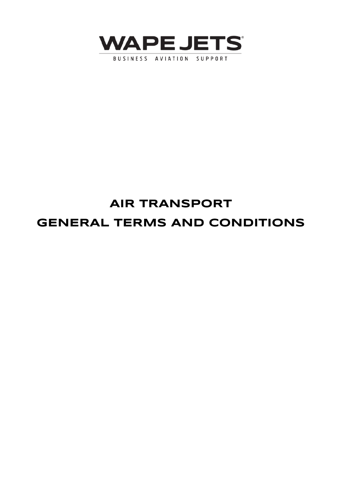

# **AIR TRANSPORT**

## **GENERAL TERMS AND CONDITIONS**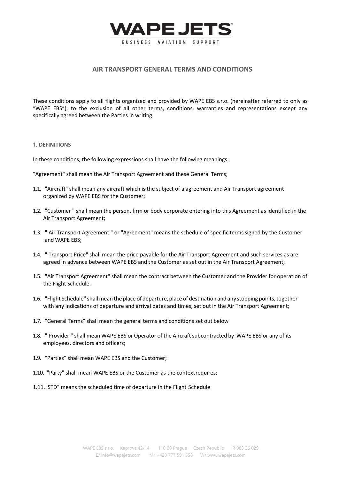

#### **AIR TRANSPORT GENERAL TERMS AND CONDITIONS**

These conditions apply to all flights organized and provided by WAPE EBS s.r.o. (hereinafter referred to only as "WAPE EBS"), to the exclusion of all other terms, conditions, warranties and representations except any specifically agreed between the Parties in writing.

#### 1. **DEFINITIONS**

In these conditions, the following expressions shall have the following meanings:

"Agreement" shall mean the Air Transport Agreement and these General Terms;

- 1.1. "Aircraft" shall mean any aircraft which is the subject of a agreement and Air Transport agreement organized by WAPE EBS for the Customer;
- 1.2. "Customer " shall mean the person, firm or body corporate entering into this Agreement as identified in the Air Transport Agreement;
- 1.3. " Air Transport Agreement " or "Agreement" means the schedule of specific terms signed by the Customer and WAPE EBS;
- 1.4. " Transport Price" shall mean the price payable for the Air Transport Agreement and such services as are agreed in advance between WAPE EBS and the Customer as set out in the Air Transport Agreement;
- 1.5. "Air Transport Agreement" shall mean the contract between the Customer and the Provider for operation of the Flight Schedule.
- 1.6. "Flight Schedule" shall mean the place of departure, place of destination and any stopping points, together with any indications of departure and arrival dates and times, set out in the Air Transport Agreement;
- 1.7. "General Terms" shall mean the general terms and conditions set out below
- 1.8. " Provider " shall mean WAPE EBS or Operator of the Aircraft subcontracted by WAPE EBS or any of its employees, directors and officers;
- 1.9. "Parties" shall mean WAPE EBS and the Customer;
- 1.10. "Party" shall mean WAPE EBS or the Customer as the contextrequires;
- 1.11. STD" means the scheduled time of departure in the Flight Schedule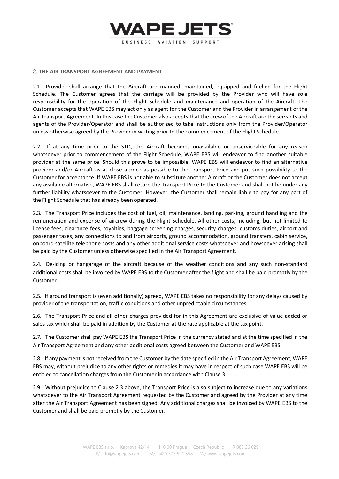

#### 2. **THE AIR TRANSPORT AGREEMENT AND PAYMENT**

2.1. Provider shall arrange that the Aircraft are manned, maintained, equipped and fuelled for the Flight Schedule. The Customer agrees that the carriage will be provided by the Provider who will have sole responsibility for the operation of the Flight Schedule and maintenance and operation of the Aircraft. The Customer accepts that WAPE EBS may act only as agent for the Customer and the Provider in arrangement of the Air Transport Agreement. In this case the Customer also accepts that the crew of the Aircraft are the servants and agents of the Provider/Operator and shall be authorized to take instructions only from the Provider/Operator unless otherwise agreed by the Provider in writing prior to the commencement of the Flight Schedule.

2.2. If at any time prior to the STD, the Aircraft becomes unavailable or unserviceable for any reason whatsoever prior to commencement of the Flight Schedule, WAPE EBS will endeavor to find another suitable provider at the same price. Should this prove to be impossible, WAPE EBS will endeavor to find an alternative provider and/or Aircraft as at close a price as possible to the Transport Price and put such possibility to the Customer for acceptance. If WAPE EBS is not able to substitute another Aircraft or the Customer does not accept any available alternative, WAPE EBS shall return the Transport Price to the Customer and shall not be under any further liability whatsoever to the Customer. However, the Customer shall remain liable to pay for any part of the Flight Schedule that has already been operated.

2.3. The Transport Price includes the cost of fuel, oil, maintenance, landing, parking, ground handling and the remuneration and expense of aircrew during the Flight Schedule. All other costs, including, but not limited to license fees, clearance fees, royalties, baggage screening charges, security charges, customs duties, airport and passenger taxes, any connections to and from airports, ground accommodation, ground transfers, cabin service, onboard satellite telephone costs and any other additional service costs whatsoever and howsoever arising shall be paid by the Customer unless otherwise specified in the Air Transport Agreement.

2.4. De-icing or hangarage of the aircraft because of the weather conditions and any such non-standard additional costs shall be invoiced by WAPE EBS to the Customer after the flight and shall be paid promptly by the Customer.

2.5. If ground transport is (even additionally) agreed, WAPE EBS takes no responsibility for any delays caused by provider of the transportation, traffic conditions and other unpredictable circumstances.

2.6. The Transport Price and all other charges provided for in this Agreement are exclusive of value added or sales tax which shall be paid in addition by the Customer at the rate applicable at the tax point.

2.7. The Customer shall pay WAPE EBS the Transport Price in the currency stated and at the time specified in the Air Transport Agreement and any other additional costs agreed between the Customer and WAPE EBS.

2.8. If any payment is not received from the Customer by the date specified in the Air Transport Agreement, WAPE EBS may, without prejudice to any other rights or remedies it may have in respect of such case WAPE EBS will be entitled to cancellation charges from the Customer in accordance with Clause 3.

2.9. Without prejudice to Clause 2.3 above, the Transport Price is also subject to increase due to any variations whatsoever to the Air Transport Agreement requested by the Customer and agreed by the Provider at any time after the Air Transport Agreement has been signed. Any additional charges shall be invoiced by WAPE EBS to the Customer and shall be paid promptly by the Customer.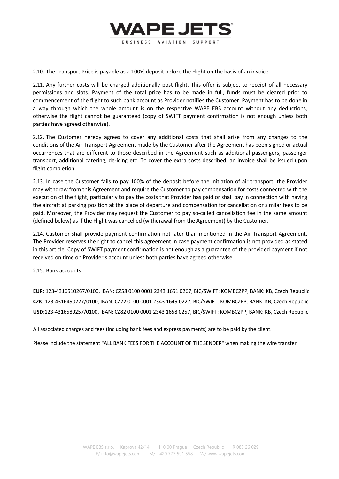

2.10. The Transport Price is payable as a 100% deposit before the Flight on the basis of an invoice.

2.11. Any further costs will be charged additionally post flight. This offer is subject to receipt of all necessary permissions and slots. Payment of the total price has to be made in full, funds must be cleared prior to commencement of the flight to such bank account as Provider notifies the Customer. Payment has to be done in a way through which the whole amount is on the respective WAPE EBS account without any deductions, otherwise the flight cannot be guaranteed (copy of SWIFT payment confirmation is not enough unless both parties have agreed otherwise).

2.12. The Customer hereby agrees to cover any additional costs that shall arise from any changes to the conditions of the Air Transport Agreement made by the Customer after the Agreement has been signed or actual occurrences that are different to those described in the Agreement such as additional passengers, passenger transport, additional catering, de-icing etc. To cover the extra costs described, an invoice shall be issued upon flight completion.

2.13. In case the Customer fails to pay 100% of the deposit before the initiation of air transport, the Provider may withdraw from this Agreement and require the Customer to pay compensation for costs connected with the execution of the flight, particularly to pay the costs that Provider has paid or shall pay in connection with having the aircraft at parking position at the place of departure and compensation for cancellation or similar fees to be paid. Moreover, the Provider may request the Customer to pay so-called cancellation fee in the same amount (defined below) as if the Flight was cancelled (withdrawal from the Agreement) by the Customer.

2.14. Customer shall provide payment confirmation not later than mentioned in the Air Transport Agreement. The Provider reserves the right to cancel this agreement in case payment confirmation is not provided as stated in this article. Copy of SWIFT payment confirmation is not enough as a guarantee of the provided payment if not received on time on Provider's account unless both parties have agreed otherwise.

2.15. Bank accounts

**EUR**: 123-4316510267/0100, IBAN: CZ58 0100 0001 2343 1651 0267, BIC/SWIFT: KOMBCZPP, BANK: KB, Czech Republic **CZK**: 123-4316490227/0100, IBAN: CZ72 0100 0001 2343 1649 0227, BIC/SWIFT: KOMBCZPP, BANK: KB, Czech Republic **USD**:123-4316580257/0100, IBAN: CZ82 0100 0001 2343 1658 0257, BIC/SWIFT: KOMBCZPP, BANK: KB, Czech Republic

All associated charges and fees (including bank fees and express payments) are to be paid by the client.

Please include the statement "ALL BANK FEES FOR THE ACCOUNT OF THE SENDER" when making the wire transfer.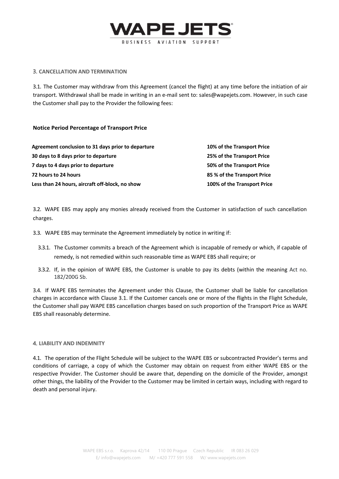

#### 3. **CANCELLATION AND TERMINATION**

3.1. The Customer may withdraw from this Agreement (cancel the flight) at any time before the initiation of air transport. Withdrawal shall be made in writing in an e-mail sent to: sales@wapejets.com. However, in such case the Customer shall pay to the Provider the following fees:

#### **Notice Period Percentage of Transport Price**

| Agreement conclusion to 31 days prior to departure | 10% of the Transport Price  |
|----------------------------------------------------|-----------------------------|
| 30 days to 8 days prior to departure               | 25% of the Transport Price  |
| 7 days to 4 days prior to departure                | 50% of the Transport Price  |
| 72 hours to 24 hours                               | 85 % of the Transport Price |
| Less than 24 hours, aircraft off-block, no show    | 100% of the Transport Price |

3.2. WAPE EBS may apply any monies already received from the Customer in satisfaction of such cancellation charges.

3.3. WAPE EBS may terminate the Agreement immediately by notice in writing if:

- 3.3.1. The Customer commits a breach of the Agreement which is incapable of remedy or which, if capable of remedy, is not remedied within such reasonable time as WAPE EBS shall require; or
- 3.3.2. If, in the opinion of WAPE EBS, the Customer is unable to pay its debts (within the meaning Act no. 182/200G Sb.

3.4. If WAPE EBS terminates the Agreement under this Clause, the Customer shall be liable for cancellation charges in accordance with Clause 3.1. If the Customer cancels one or more of the flights in the Flight Schedule, the Customer shall pay WAPE EBS cancellation charges based on such proportion of the Transport Price as WAPE EBS shall reasonably determine.

#### 4. **LIABILITY AND INDEMNITY**

4.1. The operation of the Flight Schedule will be subject to the WAPE EBS or subcontracted Provider's terms and conditions of carriage, a copy of which the Customer may obtain on request from either WAPE EBS or the respective Provider. The Customer should be aware that, depending on the domicile of the Provider, amongst other things, the liability of the Provider to the Customer may be limited in certain ways, including with regard to death and personal injury.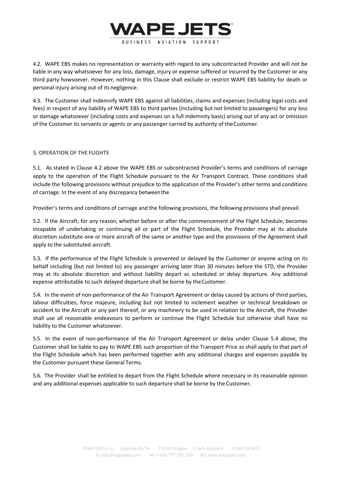

4.2. WAPE EBS makes no representation or warranty with regard to any subcontracted Provider and will not be liable in any way whatsoever for any loss, damage, injury or expense suffered or incurred by the Customer or any third party howsoever. However, nothing in this Clause shall exclude or restrict WAPE EBS liability for death or personal injury arising out of its negligence.

4.3. The Customer shall indemnify WAPE EBS against all liabilities, claims and expenses (including legal costs and fees) in respect of any liability of WAPE EBS to third parties (including but not limited to passengers) for any loss or damage whatsoever (including costs and expenses on a full indemnity basis) arising out of any act or omission of the Customer its servants or agents or any passenger carried by authority of theCustomer.

#### 5. **OPERATION OF THE FLIGHTS**

5.1. As stated in Clause 4.2 above the WAPE EBS or subcontracted Provider's terms and conditions of carriage apply to the operation of the Flight Schedule pursuant to the Air Transport Contract. These conditions shall include the following provisions without prejudice to the application of the Provider's other terms and conditions of carriage. In the event of any discrepancy betweenthe

Provider's terms and conditions of carriage and the following provisions, the following provisions shall prevail.

5.2. If the Aircraft, for any reason, whether before or after the commencement of the Flight Schedule, becomes incapable of undertaking or continuing all or part of the Flight Schedule, the Provider may at its absolute discretion substitute one or more aircraft of the same or another type and the provisions of the Agreement shall apply to the substituted aircraft.

5.3. If the performance of the Flight Schedule is prevented or delayed by the Customer or anyone acting on its behalf including (but not limited to) any passenger arriving later than 30 minutes before the STD, the Provider may at its absolute discretion and without liability depart as scheduled or delay departure. Any additional expense attributable to such delayed departure shall be borne by theCustomer.

5.4. In the event of non-performance of the Air Transport Agreement or delay caused by actions of third parties, labour difficulties, force majeure, including but not limited to inclement weather or technical breakdown or accident to the Aircraft or any part thereof, or any machinery to be used in relation to the Aircraft, the Provider shall use all reasonable endeavours to perform or continue the Flight Schedule but otherwise shall have no liability to the Customer whatsoever.

5.5. In the event of non-performance of the Air Transport Agreement or delay under Clause 5.4 above, the Customer shall be liable to pay to WAPE EBS such proportion of the Transport Price as shall apply to that part of the Flight Schedule which has been performed together with any additional charges and expenses payable by the Customer pursuant these General Terms.

5.6. The Provider shall be entitled to depart from the Flight Schedule where necessary in its reasonable opinion and any additional expenses applicable to such departure shall be borne by the Customer.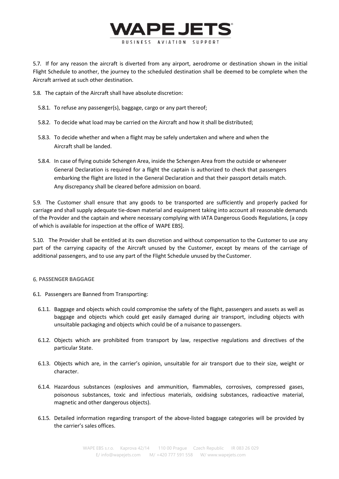

5.7. If for any reason the aircraft is diverted from any airport, aerodrome or destination shown in the initial Flight Schedule to another, the journey to the scheduled destination shall be deemed to be complete when the Aircraft arrived at such other destination.

5.8. The captain of the Aircraft shall have absolute discretion:

- 5.8.1. To refuse any passenger(s), baggage, cargo or any part thereof;
- 5.8.2. To decide what load may be carried on the Aircraft and how it shall bedistributed;
- 5.8.3. To decide whether and when a flight may be safely undertaken and where and when the Aircraft shall be landed.
- 5.8.4. In case of flying outside Schengen Area, inside the Schengen Area from the outside or whenever General Declaration is required for a flight the captain is authorized to check that passengers embarking the flight are listed in the General Declaration and that their passport details match. Any discrepancy shall be cleared before admission on board.

5.9. The Customer shall ensure that any goods to be transported are sufficiently and properly packed for carriage and shall supply adequate tie-down material and equipment taking into account all reasonable demands of the Provider and the captain and where necessary complying with IATA Dangerous Goods Regulations, [a copy of which is available for inspection at the office of WAPE EBS].

5.10. The Provider shall be entitled at its own discretion and without compensation to the Customer to use any part of the carrying capacity of the Aircraft unused by the Customer, except by means of the carriage of additional passengers, and to use any part of the Flight Schedule unused by the Customer.

#### 6. **PASSENGER BAGGAGE**

- 6.1. Passengers are Banned from Transporting:
	- 6.1.1. Baggage and objects which could compromise the safety of the flight, passengers and assets as well as baggage and objects which could get easily damaged during air transport, including objects with unsuitable packaging and objects which could be of a nuisance to passengers.
	- 6.1.2. Objects which are prohibited from transport by law, respective regulations and directives of the particular State.
	- 6.1.3. Objects which are, in the carrier's opinion, unsuitable for air transport due to their size, weight or character.
	- 6.1.4. Hazardous substances (explosives and ammunition, flammables, corrosives, compressed gases, poisonous substances, toxic and infectious materials, oxidising substances, radioactive material, magnetic and other dangerous objects).
	- 6.1.5. Detailed information regarding transport of the above-listed baggage categories will be provided by the carrier's sales offices.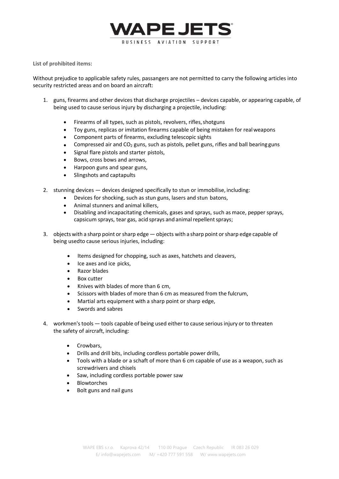

**List of prohibited items:**

Without prejudice to applicable safety rules, passangers are not permitted to carry the following articles into security restricted areas and on board an aircraft:

- 1. guns, firearms and other devices that discharge projectiles devices capable, or appearing capable, of being used to cause serious injury by discharging a projectile, including:
	- Firearms of all types, such as pistols, revolvers, rifles,shotguns
	- Toy guns, replicas or imitation firearms capable of being mistaken for realweapons
	- Component parts of firearms, excluding telescopic sights
	- Compressed air and  $CO<sub>2</sub>$  guns, such as pistols, pellet guns, rifles and ball bearing guns
	- Signal flare pistols and starter pistols,
	- Bows, cross bows and arrows,
	- Harpoon guns and spear guns,
	- Slingshots and captapults
- 2. stunning devices devices designed specifically to stun or immobilise, including:
	- Devices for shocking, such as stun guns, lasers and stun batons,
	- Animal stunners and animal killers,
	- Disabling and incapacitating chemicals, gases and sprays, such as mace, pepper sprays, capsicum sprays, tear gas, acid sprays and animal repellent sprays;
- 3. objectswith a sharp point orsharp edge objects with a sharp point orsharp edge capable of being usedto cause serious injuries, including:
	- Items designed for chopping, such as axes, hatchets and cleavers,
	- Ice axes and ice picks,
	- Razor blades
	- Box cutter
	- Knives with blades of more than 6 cm,
	- Scissors with blades of more than 6 cm as measured from the fulcrum,
	- Martial arts equipment with a sharp point or sharp edge,
	- Swords and sabres
- 4. workmen's tools tools capable of being used either to cause serious injury or to threaten the safety of aircraft, including:
	- Crowbars,
	- Drills and drill bits, including cordless portable power drills,
	- Tools with a blade or a schaft of more than 6 cm capable of use as a weapon, such as screwdrivers and chisels
	- Saw, including cordless portable power saw
	- **Blowtorches**
	- Bolt guns and nail guns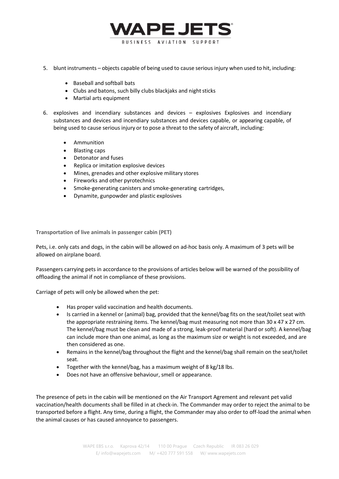

- 5. blunt instruments objects capable of being used to cause serious injury when used to hit, including:
	- Baseball and softball bats
	- Clubs and batons, such billy clubs blackjaks and night sticks
	- Martial arts equipment
- 6. explosives and incendiary substances and devices explosives Explosives and incendiary substances and devices and incendiary substances and devices capable, or appearing capable, of being used to cause serious injury or to pose a threat to the safety of aircraft, including:
	- Ammunition
	- Blasting caps
	- Detonator and fuses
	- Replica or imitation explosive devices
	- Mines, grenades and other explosive military stores
	- Fireworks and other pyrotechnics
	- Smoke-generating canisters and smoke-generating cartridges,
	- Dynamite, gunpowder and plastic explosives

**Transportation of live animals in passenger cabin (PET)**

Pets, i.e. only cats and dogs, in the cabin will be allowed on ad-hoc basis only. A maximum of 3 pets will be allowed on airplane board.

Passengers carrying pets in accordance to the provisions of articles below will be warned of the possibility of offloading the animal if not in compliance of these provisions.

Carriage of pets will only be allowed when the pet:

- Has proper valid vaccination and health documents.
- Is carried in a kennel or (animal) bag, provided that the kennel/bag fits on the seat/toilet seat with the appropriate restraining items. The kennel/bag must measuring not more than 30 x 47 x 27 cm. The kennel/bag must be clean and made of a strong, leak-proof material (hard or soft). A kennel/bag can include more than one animal, as long as the maximum size or weight is not exceeded, and are then considered as one.
- Remains in the kennel/bag throughout the flight and the kennel/bag shall remain on the seat/toilet seat.
- Together with the kennel/bag, has a maximum weight of 8 kg/18 lbs.
- Does not have an offensive behaviour, smell or appearance.

The presence of pets in the cabin will be mentioned on the Air Transport Agrement and relevant pet valid vaccination/health documents shall be filled in at check-in. The Commander may order to reject the animal to be transported before a flight. Any time, during a flight, the Commander may also order to off-load the animal when the animal causes or has caused annoyance to passengers.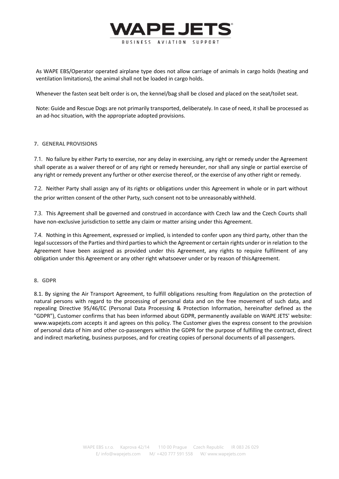

As WAPE EBS/Operator operated airplane type does not allow carriage of animals in cargo holds (heating and ventilation limitations), the animal shall not be loaded in cargo holds.

Whenever the fasten seat belt order is on, the kennel/bag shall be closed and placed on the seat/toilet seat.

Note: Guide and Rescue Dogs are not primarily transported, deliberately. In case of need, it shall be processed as an ad-hoc situation, with the appropriate adopted provisions.

#### **7. GENERAL PROVISIONS**

7.1. No failure by either Party to exercise, nor any delay in exercising, any right or remedy under the Agreement shall operate as a waiver thereof or of any right or remedy hereunder, nor shall any single or partial exercise of any right or remedy prevent any further or other exercise thereof, or the exercise of any other right or remedy.

7.2. Neither Party shall assign any of its rights or obligations under this Agreement in whole or in part without the prior written consent of the other Party, such consent not to be unreasonably withheld.

7.3. This Agreement shall be governed and construed in accordance with Czech law and the Czech Courts shall have non-exclusive jurisdiction to settle any claim or matter arising under this Agreement.

7.4. Nothing in this Agreement, expressed or implied, is intended to confer upon any third party, other than the legal successors of the Parties and third parties to which the Agreement or certain rights under or in relation to the Agreement have been assigned as provided under this Agreement, any rights to require fulfilment of any obligation under this Agreement or any other right whatsoever under or by reason of this Agreement.

#### **8. GDPR**

8.1. By signing the Air Transport Agreement, to fulfill obligations resulting from Regulation on the protection of natural persons with regard to the processing of personal data and on the free movement of such data, and repealing Directive 95/46/EC (Personal Data Processing & Protection Information, hereinafter defined as the "GDPR"), Customer confirms that has been informed about GDPR, permanently available on WAPE JETS' website: www.wapejets.com accepts it and agrees on this policy. The Customer gives the express consent to the provision of personal data of him and other co-passengers within the GDPR for the purpose of fulfilling the contract, direct and indirect marketing, business purposes, and for creating copies of personal documents of all passengers.